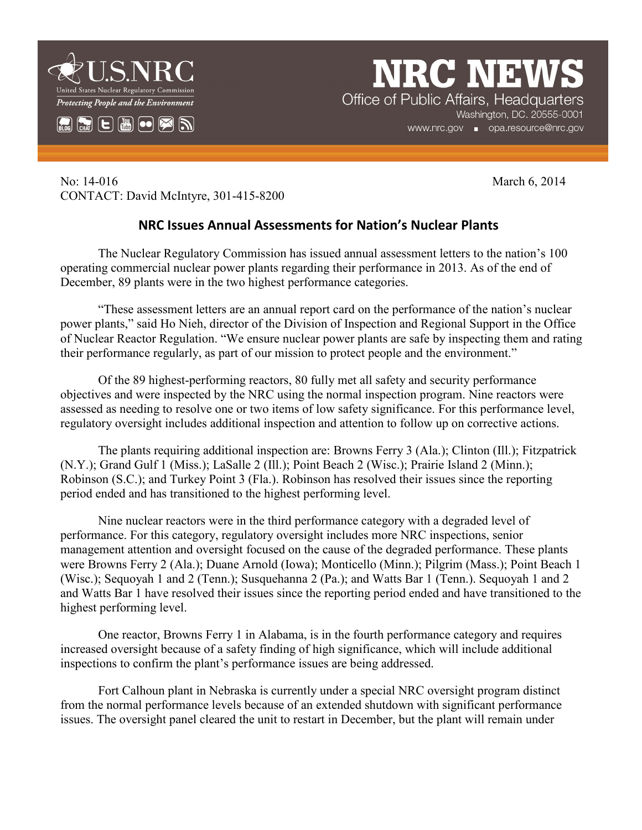



**NRC NEW** Office of Public Affairs, Headquarters Washington, DC. 20555-0001 www.nrc.gov **Demon Deta**.resource@nrc.gov

No: 14-016 March 6, 2014 CONTACT: David McIntyre, 301-415-8200

## **NRC Issues Annual Assessments for Nation's Nuclear Plants**

The Nuclear Regulatory Commission has issued annual assessment letters to the nation's 100 operating commercial nuclear power plants regarding their performance in 2013. As of the end of December, 89 plants were in the two highest performance categories.

"These assessment letters are an annual report card on the performance of the nation's nuclear power plants," said Ho Nieh, director of the Division of Inspection and Regional Support in the Office of Nuclear Reactor Regulation. "We ensure nuclear power plants are safe by inspecting them and rating their performance regularly, as part of our mission to protect people and the environment."

Of the 89 highest-performing reactors, 80 fully met all safety and security performance objectives and were inspected by the NRC using the normal inspection program. Nine reactors were assessed as needing to resolve one or two items of low safety significance. For this performance level, regulatory oversight includes additional inspection and attention to follow up on corrective actions.

The plants requiring additional inspection are: Browns Ferry 3 (Ala.); Clinton (Ill.); Fitzpatrick (N.Y.); Grand Gulf 1 (Miss.); LaSalle 2 (Ill.); Point Beach 2 (Wisc.); Prairie Island 2 (Minn.); Robinson (S.C.); and Turkey Point 3 (Fla.). Robinson has resolved their issues since the reporting period ended and has transitioned to the highest performing level.

Nine nuclear reactors were in the third performance category with a degraded level of performance. For this category, regulatory oversight includes more NRC inspections, senior management attention and oversight focused on the cause of the degraded performance. These plants were Browns Ferry 2 (Ala.); Duane Arnold (Iowa); Monticello (Minn.); Pilgrim (Mass.); Point Beach 1 (Wisc.); Sequoyah 1 and 2 (Tenn.); Susquehanna 2 (Pa.); and Watts Bar 1 (Tenn.). Sequoyah 1 and 2 and Watts Bar 1 have resolved their issues since the reporting period ended and have transitioned to the highest performing level.

One reactor, Browns Ferry 1 in Alabama, is in the fourth performance category and requires increased oversight because of a safety finding of high significance, which will include additional inspections to confirm the plant's performance issues are being addressed.

Fort Calhoun plant in Nebraska is currently under a special NRC oversight program distinct from the normal performance levels because of an extended shutdown with significant performance issues. The oversight panel cleared the unit to restart in December, but the plant will remain under